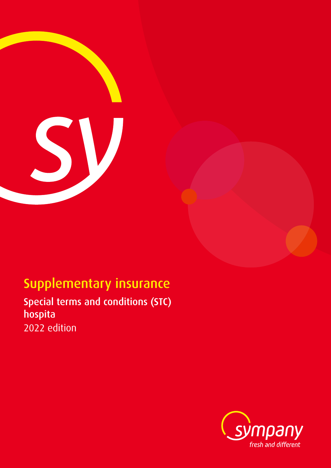

# Supplementary insurance

Special terms and conditions (STC) hospita 2022 edition

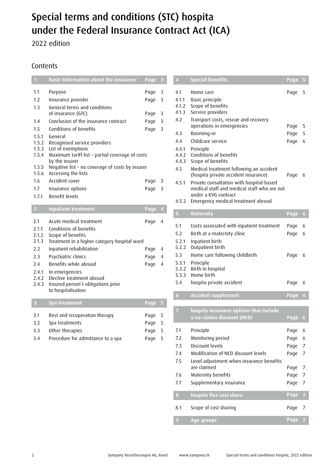# Special terms and conditions (STC) hospita under the Federal Insurance Contract Act (ICA)

2022 edition

# **Contents**

| $\mathbf{1}$                     | <b>Basic information about the insurance</b>                                                                                       | Page                         | 3                |
|----------------------------------|------------------------------------------------------------------------------------------------------------------------------------|------------------------------|------------------|
| 1.1                              | Purpose                                                                                                                            | Page                         | 3                |
| 1.2                              | Insurance provider                                                                                                                 | Page                         | 3                |
| 1.3                              | General terms and conditions<br>of insurance (GTC)                                                                                 | Page                         | 3                |
| 1.4                              | Conclusion of the insurance contract                                                                                               | Page                         | 3                |
| 1.5                              | Conditions of benefits                                                                                                             | Page                         | 3                |
| 1.5.1<br>1.5.2<br>1.5.3<br>1.5.4 | General<br>Recognised service providers<br>List of exemptions<br>Maximum tariff list - partial coverage of costs<br>by the insurer |                              |                  |
| 1.5.5<br>1.5.6                   | Negative list - no coverage of costs by insurer<br>Accessing the lists                                                             |                              |                  |
| 1.6                              | Accident cover                                                                                                                     | Page                         | 3                |
| 1.7                              | Insurance options                                                                                                                  | Page                         | 3                |
| 1.7.1                            | <b>Benefit levels</b>                                                                                                              |                              |                  |
| $\overline{2}$                   | <b>Inpatient treatment</b>                                                                                                         | Page                         | 4                |
| 2.1<br>2.1.1<br>2.1.2            | Acute medical treatment<br>Conditions of benefits<br>Scope of benefits                                                             | Page                         | 4                |
| 2.1.3                            | Treatment in a higher category hospital ward                                                                                       |                              |                  |
| 2.2                              | Inpatient rehabilitation                                                                                                           | Page                         | 4                |
| 2.3                              | Psychiatric clinics                                                                                                                | Page                         | $\overline{4}$   |
| 2.4                              | Benefits while abroad                                                                                                              | Page                         | 4                |
| 2.4.1<br>2.4.2<br>2.4.3          | In emergencies<br>Elective treatment abroad<br>Insured person's obligations prior<br>to hospitalisation                            |                              |                  |
| $\overline{\mathbf{3}}$          | Spa treatment                                                                                                                      | Page                         | 5                |
| 3.1<br>3.2<br>3.3<br>3.4         | Rest and recuperation therapy<br>Spa treatments<br>Other therapies<br>Procedure for admittance to a spa                            | Page<br>Page<br>Page<br>Page | 5<br>5<br>5<br>5 |

| $\overline{4}$                 | <b>Special benefits</b>                                                                                                                                                                       | Page   | 5                   |
|--------------------------------|-----------------------------------------------------------------------------------------------------------------------------------------------------------------------------------------------|--------|---------------------|
| 4.1<br>4.1.1<br>4.1.2<br>4.1.3 | Home care<br>Basic principle<br>Scope of benefits<br>Service providers                                                                                                                        | Page   | 5                   |
| 4.2                            | Transport costs, rescue and recovery<br>operations in emergencies                                                                                                                             | Page   | 5                   |
| 4.3                            | Rooming-in                                                                                                                                                                                    | Page   | 5                   |
| 4.4                            | Childcare service                                                                                                                                                                             | Page   | 6                   |
| 4.4.1<br>4.4.2<br>4.4.3<br>4.5 | Principle<br>Conditions of benefits<br>Scope of benefits<br>Medical treatment following an accident                                                                                           |        |                     |
| 4.5.1<br>4.5.2                 | (hospita private accident insurance)<br>Private consultation with hospital-based<br>medical staff and medical staff who are not<br>under a KVG contract<br>Emergency medical treatment abroad | Page   | 6                   |
|                                |                                                                                                                                                                                               |        |                     |
| $\overline{5}$                 | <b>Maternity</b>                                                                                                                                                                              | Page 6 |                     |
| 5.1                            | Costs associated with inpatient treatment                                                                                                                                                     | Page   | 6                   |
| 5.2<br>5.2.1<br>5.2.2          | Birth at a maternity clinic<br>Inpatient birth<br>Outpatient birth                                                                                                                            | Page   | 6                   |
| 5.3<br>5.3.1<br>5.3.2<br>5.3.3 | Home care following childbirth<br>Principle<br>Birth in hospital<br>Home birth                                                                                                                | Page   | 6                   |
| 5.4                            | hospita private accident                                                                                                                                                                      | Page   | 6                   |
| 6                              |                                                                                                                                                                                               |        |                     |
|                                | <b>Accident supplement</b>                                                                                                                                                                    | Page   | $\ddot{\mathbf{6}}$ |
| $\overline{I}$                 | hospita insurance options that include<br>a no-claims discount (NCD)                                                                                                                          | Page   | 6                   |
| 7.1                            |                                                                                                                                                                                               | Page   | 6                   |
| 7.2                            | Principle<br>Monitoring period                                                                                                                                                                | Page   | 6                   |
| 7.3                            | Discount levels                                                                                                                                                                               | Page   | 7                   |

7.5 Level adjustment when insurance benefits

are claimed are claimed and Page 7 7.6 Maternity benefits **Page 7** 7.7 Supplementary insurance many entity Page 7

**8 hospita flex cost share Page 7** 

8.1 Scope of cost sharing extending the Page 7

**9 Age groups Page 7**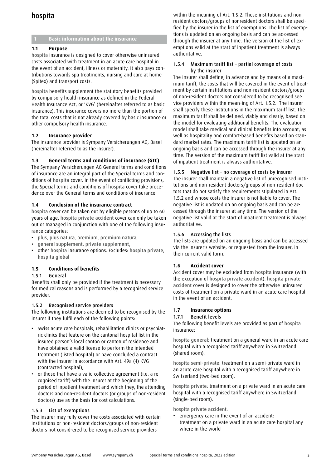# hospita

# **1 Basic information about the insurance**

# **1.1 Purpose**

hospita insurance is designed to cover otherwise uninsured costs associated with treatment in an acute care hospital in the event of an accident, illness or maternity. It also pays contributions towards spa treatments, nursing and care at home (Spitex) and transport costs.

hospita benefits supplement the statutory benefits provided by compulsory health insurance as defined in the Federal Health Insurance Act, or 'KVG' (hereinafter referred to as basic insurance). This insurance covers no more than the portion of the total costs that is not already covered by basic insurance or other compulsory health insurance.

# **1.2 Insurance provider**

The insurance provider is Sympany Versicherungen AG, Basel (hereinafter referred to as the insurer).

# **1.3 General terms and conditions of insurance (GTC)**

The Sympany Versicherungen AG General terms and conditions of insurance are an integral part of the Special terms and conditions of hospita cover. In the event of conflicting provisions, the Special terms and conditions of hospita cover take precedence over the General terms and conditions of insurance.

#### **1.4 Conclusion of the insurance contract**

hospita cover can be taken out by eligible persons of up to 60 years of age. hospita private accident cover can only be taken out or managed in conjunction with one of the following insurance categories:

- plus, plus natura, premium, premium natura,
- general supplement, private supplement,
- other hospita insurance options. Excludes: hospita private, hospita global

# **1.5 Conditions of benefits**

#### 1.5.1 General

Benefits shall only be provided if the treatment is necessary for medical reasons and is performed by a recognised service provider.

#### 1.5.2 Recognised service providers

The following institutions are deemed to be recognised by the insurer if they fulfil each of the following points:

- Swiss acute care hospitals, rehabilitation clinics or psychiatric clinics that feature on the cantonal hospital list in the insured person's local canton or canton of residence and have obtained a valid license to perform the intended treatment (listed hospital) or have concluded a contract with the insurer in accordance with Art. 49a (4) KVG (contracted hospital),
- or those that have a valid collective agreement (i.e. a re cognised tariff) with the insurer at the beginning of the period of inpatient treatment and which they, the attending doctors and non-resident doctors (or groups of non-resident doctors) use as the basis for cost calculations.

#### 1.5.3 List of exemptions

The insurer may fully cover the costs associated with certain institutions or non-resident doctors/groups of non-resident doctors not consid-ered to be recognised service providers

within the meaning of Art. 1.5.2. These institutions and nonresident doctors/groups of nonresident doctors shall be specified by the insurer in the list of exemptions. The list of exemptions is updated on an ongoing basis and can be ac-cessed through the insurer at any time. The version of the list of exemptions valid at the start of inpatient treatment is always authoritative.

#### 1.5.4 Maximum tariff list – partial coverage of costs by the insurer

The insurer shall define, in advance and by means of a maximum tariff, the costs that will be covered in the event of treatment by certain institutions and non-resident doctors/groups of non-resident doctors not considered to be recognised service providers within the mean-ing of Art. 1.5.2. The insurer shall specify these institutions in the maximum tariff list. The maximum tariff shall be defined, viably and clearly, based on the model for evaluating additional benefits. The evaluation model shall take medical and clinical benefits into account, as well as hospitality and comfort-based benefits based on standard market rates. The maximum tariff list is updated on an ongoing basis and can be accessed through the insurer at any time. The version of the maximum tariff list valid at the start of inpatient treatment is always authoritative.

#### 1.5.5 Negative list – no coverage of costs by insurer

The insurer shall maintain a negative list of unrecognised institutions and non-resident doctors/groups of non-resident doctors that do not satisfy the requirements stipulated in Art. 1.5.2 and whose costs the insurer is not liable to cover. The negative list is updated on an ongoing basis and can be accessed through the insurer at any time. The version of the negative list valid at the start of inpatient treatment is always authoritative.

### 1.5.6 Accessing the lists

The lists are updated on an ongoing basis and can be accessed via the insurer's website, or requested from the insurer, in their current valid form.

#### **1.6 Accident cover**

Accident cover may be excluded from hospita insurance (with the exception of hospita private accident). hospita private accident cover is designed to cover the otherwise uninsured costs of treatment on a private ward in an acute care hospital in the event of an accident.

# **1.7 Insurance options**

#### 1.7.1 Benefit levels

The following benefit levels are provided as part of hospita insurance:

hospita general: treatment on a general ward in an acute care hospital with a recognised tariff anywhere in Switzerland (shared room).

hospita semi-private: treatment on a semi-private ward in an acute care hospital with a recognised tariff anywhere in Switzerland (two-bed room).

hospita private: treatment on a private ward in an acute care hospital with a recognised tariff anywhere in Switzerland (single-bed room).

hospita private accident:

• emergency care in the event of an accident: treatment on a private ward in an acute care hospital any where in the world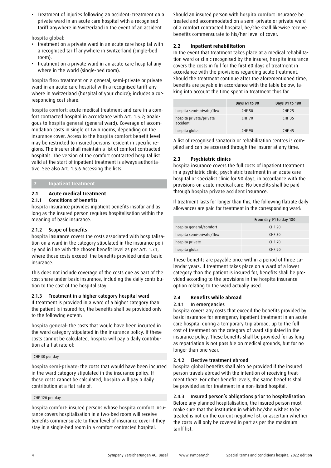• Treatment of injuries following an accident: treatment on a private ward in an acute care hospital with a recognised tariff anywhere in Switzerland in the event of an accident

hospita global:

- treatment on a private ward in an acute care hospital with a recognised tariff anywhere in Switzerland (single-bed room).
- treatment on a private ward in an acute care hospital any where in the world (single-bed room).

hospita flex: treatment on a general, semi-private or private ward in an acute care hospital with a recognised tariff anywhere in Switzerland (hospital of your choice); includes a corresponding cost share.

hospita comfort: acute medical treatment and care in a comfort contracted hospital in accordance with Art. 1.5.2; analogous to hospita general (general ward). Coverage of accommodation costs in single or twin rooms, depending on the insurance cover. Access to the hospita comfort benefit level may be restricted to insured persons resident in specific regions. The insurer shall maintain a list of comfort contracted hospitals. The version of the comfort contracted hospital list valid at the start of inpatient treatment is always authoritative. See also Art. 1.5.6 Accessing the lists.

# **2 Inpatient treatment**

# **2.1 Acute medical treatment**

# 2.1.1 Conditions of benefits

hospita insurance provides inpatient benefits insofar and as long as the insured person requires hospitalisation within the meaning of basic insurance.

# 2.1.2 Scope of benefits

hospita insurance covers the costs associated with hospitalisation on a ward in the category stipulated in the insurance policy and in line with the chosen benefit level as per Art. 1.7.1, where those costs exceed the benefits provided under basic insurance.

This does not include coverage of the costs due as part of the cost share under basic insurance, including the daily contribution to the cost of the hospital stay.

#### 2.1.3 Treatment in a higher category hospital ward

If treatment is provided in a ward of a higher category than the patient is insured for, the benefits shall be provided only to the following extent:

hospita general: the costs that would have been incurred in the ward category stipulated in the insurance policy. If these costs cannot be calculated, hospita will pay a daily contribution at a flat rate of:

#### CHF 30 per day

hospita semi-private: the costs that would have been incurred in the ward category stipulated in the insurance policy. If these costs cannot be calculated, hospita will pay a daily contribution at a flat rate of:

#### CHF 120 per day

hospita comfort: insured persons whose hospita comfort insurance covers hospitalisation in a two-bed room will receive benefits commensurate to their level of insurance cover if they stay in a single-bed room in a comfort contracted hospital.

Should an insured person with hospita comfort insurance be treated and accommodated on a semi-private or private ward of a comfort contracted hospital, he/she shall likewise receive benefits commensurate to his/her level of cover.

# **2.2 Inpatient rehabilitation**

In the event that treatment takes place at a medical rehabilitation ward or clinic recognised by the insurer, hospita insurance covers the costs in full for the first 60 days of treatment in accordance with the provisions regarding acute treatment. Should the treatment continue after the aforementioned time, benefits are payable in accordance with the table below, taking into account the time spent in treatment thus far.

|                                     | Days 61 to 90 | Days 91 to 180 |
|-------------------------------------|---------------|----------------|
| hospita semi-private/flex           | <b>CHF 50</b> | <b>CHF 25</b>  |
| hospita private/private<br>accident | <b>CHF 70</b> | <b>CHF 35</b>  |
| hospita global                      | CHF 90        | <b>CHF 45</b>  |

A list of recognised sanatoria or rehabilitation centres is compiled and can be accessed through the insurer at any time.

# **2.3 Psychiatric clinics**

hospita insurance covers the full costs of inpatient treatment in a psychiatric clinic, psychiatric treatment in an acute care hospital or specialist clinic for 90 days, in accordance with the provisions on acute medical care. No benefits shall be paid through hospita private accident insurance.

If treatment lasts for longer than this, the following flatrate daily allowances are paid for treatment in the corresponding ward:

|                           | From day 91 to day 180 |
|---------------------------|------------------------|
| hospita general/comfort   | <b>CHF 20</b>          |
| hospita semi-private/flex | <b>CHF 50</b>          |
| hospita private           | <b>CHF 70</b>          |
| hospita global            | CHF 90                 |

These benefits are payable once within a period of three calendar years. If treatment takes place on a ward of a lower category than the patient is insured for, benefits shall be provided according to the provisions in the hospita insurance option relating to the ward actually used.

#### **2.4 Benefits while abroad**

#### 2.4.1 In emergencies

hospita covers any costs that exceed the benefits provided by basic insurance for emergency inpatient treatment in an acute care hospital during a temporary trip abroad, up to the full cost of treatment on the category of ward stipulated in the insurance policy. These benefits shall be provided for as long as repatriation is not possible on medical grounds, but for no longer than one year.

#### 2.4.2 Elective treatment abroad

hospita global benefits shall also be provided if the insured person travels abroad with the intention of receiving treatment there. For other benefit levels, the same benefits shall be provided as for treatment in a non-listed hospital.

# 2.4.3 Insured person's obligations prior to hospitalisation

Before any planned hospitalisation, the insured person must make sure that the institution in which he/she wishes to be treated is not on the current negative list, or ascertain whether the costs will only be covered in part as per the maximum tariff list.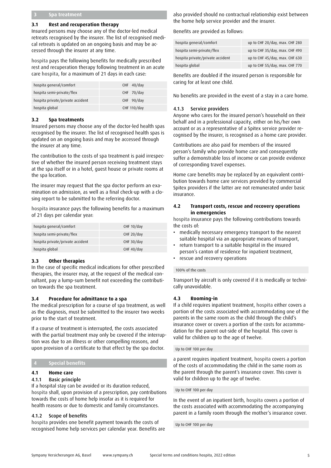#### **3 Spa treatment**

#### **3.1 Rest and recuperation therapy**

Insured persons may choose any of the doctor-led medical retreats recognised by the insurer. The list of recognised medical retreats is updated on an ongoing basis and may be accessed through the insurer at any time.

hospita pays the following benefits for medically prescribed rest and recuperation therapy following treatment in an acute care hospita, for a maximum of 21 days in each case:

| hospita general/comfort          | $CHF$ 40/day |
|----------------------------------|--------------|
| hospita semi-private/flex        | CHF 70/day   |
| hospita private/private accident | CHF 90/day   |
| hospita global                   | CHF 110/day  |

#### **3.2 Spa treatments**

Insured persons may choose any of the doctor-led health spas recognised by the insurer. The list of recognised health spas is updated on an ongoing basis and may be accessed through the insurer at any time.

The contribution to the costs of spa treatment is paid irrespective of whether the insured person receiving treatment stays at the spa itself or in a hotel, guest house or private rooms at the spa location.

The insurer may request that the spa doctor perform an examination on admission, as well as a final check-up with a closing report to be submitted to the referring doctor.

hospita insurance pays the following benefits for a maximum of 21 days per calendar year:

| hospita general/comfort          | CHF $10$ /day |
|----------------------------------|---------------|
| hospita semi-private/flex        | CHF $20$ /day |
| hospita private/private accident | CHF 30/day    |
| hospita global                   | CHF $40$ /day |

#### **3.3 Other therapies**

In the case of specific medical indications for other prescribed therapies, the insurer may, at the request of the medical consultant, pay a lump-sum benefit not exceeding the contribution towards the spa treatment.

#### **3.4 Procedure for admittance to a spa**

The medical prescription for a course of spa treatment, as well as the diagnosis, must be submitted to the insurer two weeks prior to the start of treatment.

If a course of treatment is interrupted, the costs associated with the partial treatment may only be covered if the interruption was due to an illness or other compelling reasons, and upon provision of a certificate to that effect by the spa doctor.

#### **4 Special benefits**

# **4.1 Home care**

#### 4.1.1 Basic principle

If a hospital stay can be avoided or its duration reduced, hospita shall, upon provision of a prescription, pay contributions towards the costs of home help insofar as it is required for health reasons or due to domestic and family circumstances.

#### 4.1.2 Scope of benefits

hospita provides one benefit payment towards the costs of recognised home help services per calendar year. Benefits are also provided should no contractual relationship exist between the home help service provider and the insurer.

Benefits are provided as follows:

| hospita general/comfort          | up to CHF 20/day, max. CHF 280 |
|----------------------------------|--------------------------------|
| hospita semi-private/flex        | up to CHF 35/day, max. CHF 490 |
| hospita private/private accident | up to CHF 45/day, max. CHF 630 |
| hospita global                   | up to CHF 55/day, max. CHF 770 |

Benefits are doubled if the insured person is responsible for caring for at least one child.

No benefits are provided in the event of a stay in a care home.

#### 4.1.3 Service providers

Anyone who cares for the insured person's household on their behalf and in a professional capacity, either on his/her own account or as a representative of a Spitex service provider recognised by the insurer, is recognised as a home care provider.

Contributions are also paid for members of the insured person's family who provide home care and consequently suffer a demonstrable loss of income or can provide evidence of corresponding travel expenses.

Home care benefits may be replaced by an equivalent contribution towards home care services provided by commercial Spitex providers if the latter are not remunerated under basic insurance.

#### **4.2 Transport costs, rescue and recovery operations in emergencies**

hospita insurance pays the following contributions towards the costs of:

- medically necessary emergency transport to the nearest suitable hospital via an appropriate means of transport,
- return transport to a suitable hospital in the insured person's canton of residence for inpatient treatment,
- rescue and recovery operations

#### 100% of the costs

Transport by aircraft is only covered if it is medically or technically unavoidable.

#### **4.3 Rooming-in**

If a child requires inpatient treatment, hospita either covers a portion of the costs associated with accommodating one of the parents in the same room as the child through the child's insurance cover or covers a portion of the costs for accommodation for the parent out-side of the hospital. This cover is valid for children up to the age of twelve.

#### Up to CHF 100 per day

a parent requires inpatient treatment, hospita covers a portion of the costs of accommodating the child in the same room as the parent through the parent's insurance cover. This cover is valid for children up to the age of twelve.

#### Up to CHF 100 per day

In the event of an inpatient birth, hospita covers a portion of the costs associated with accommodating the accompanying parent in a family room through the mother's insurance cover.

Up to CHF 100 per day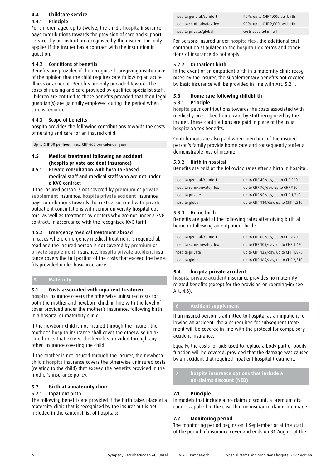# **4.4 Childcare service**

### 4.4.1 Principle

For children aged up to twelve, the child's hospita insurance pays contributions towards the provision of care and support services by an institution recognised by the insurer. This only applies if the insurer has a contract with the institution in question.

### 4.4.2 Conditions of benefits

Benefits are provided if the recognised caregiving institution is of the opinion that the child requires care following an acute illness or accident. Benefits are only provided towards the costs of nursing and care provided by qualified specialist staff. Children are entitled to these benefits provided that their legal guardian(s) are gainfully employed during the period when care is required.

# 4.4.3 Scope of benefits

hospita provides the following contributions towards the costs of nursing and care for an insured child:

Up to CHF 30 per hour, max. CHF 600 per calendar year

# **4.5 Medical treatment following an accident (hospita private accident insurance)**

4.5.1 Private consultation with hospital-based medical staff and medical staff who are not under a KVG contract

If the insured person is not covered by premium or private supplement insurance, hospita private accident insurance pays contributions towards the costs associated with private outpatient consultations with senior university hospital doctors, as well as treatment by doctors who are not under a KVG contract, in accordance with the recognised KVG tariff.

# 4.5.2 Emergency medical treatment abroad

In cases where emergency medical treatment is required abroad and the insured person is not covered by premium or private supplement insurance, hospita private accident insurance covers the full portion of the costs that exceed the benefits provided under basic insurance.

# **5 Maternity**

# **5.1 Costs associated with inpatient treatment**

hospita insurance covers the otherwise uninsured costs for both the mother and newborn child, in line with the level of cover provided under the mother's insurance, following birth in a hospital or maternity clinic.

If the newborn child is not insured through the insurer, the mother's hospita insurance shall cover the otherwise uninsured costs that exceed the benefits provided through any other insurance covering the child.

If the mother is not insured through the insurer, the newborn child's hospita insurance covers the otherwise uninsured costs (relating to the child) that exceed the benefits provided in the mother's insurance policy.

### **5.2 Birth at a maternity clinic**

#### 5.2.1 Inpatient birth

The following benefits are provided if the birth takes place at a maternity clinic that is recognised by the insurer but is not included in the cantonal list of hospitals:

| hospita general/comfort   | 90%, up to CHF 1,000 per birth |
|---------------------------|--------------------------------|
| hospita semi-private/flex | 90%, up to CHF 2,000.per birth |
| hospita private/global    | costs covered in full          |

For persons insured under hospita flex, the additional cost contribution stipulated in the hospita flex terms and conditions of insurance do not apply.

# 5.2.2 Outpatient birth

In the event of an outpatient birth in a maternity clinic recognised by the insurer, the supplementary benefits not covered by basic insurance will be provided in line with Art. 5.2.1.

# **5.3 Home care following childbirth**

#### 5.3.1 Principle

hospita pays contributions towards the costs associated with medically prescribed home care by staff recognised by the insurer. These contributions are paid in place of the usual hospita Spitex benefits.

Contributions are also paid when members of the insured person's family provide home care and consequently suffer a demonstrable loss of income.

# 5.3.2 Birth in hospital

Benefits are paid at the following rates after a birth in hospital:

| hospita general/comfort   | up to CHF 40/day, up to CHF 560    |
|---------------------------|------------------------------------|
| hospita semi-private/flex | up to CHF 70/day, up to CHF 980    |
| hospita private           | up to CHF 90/day, up to CHF 1,260  |
| hospita global            | up to CHF 110/day, up to CHF 1,540 |

# 5.3.3 Home birth

Benefits are paid at the following rates after giving birth at home or following an outpatient birth:

| hospita general/comfort   | up to CHF 60/day, up to CHF 840    |
|---------------------------|------------------------------------|
| hospita semi-private/flex | up to CHF 105/day, up to CHF 1,470 |
| hospita private           | up to CHF 135/day, up to CHF 1,890 |
| hospita global            | up to CHF 165/day, up to CHF 2,310 |

#### **5.4 hospita private accident**

hospita private accident insurance provides no maternityrelated benefits (except for the provision on rooming-in; see Art. 4.3).

#### **6 Accident supplement**

If an insured person is admitted to hospital as an inpatient following an accident, the aids required for subsequent treatment will be covered in line with the protocol for compulsory accident insurance.

Equally, the costs for aids used to replace a body part or bodily function will be covered, provided that the damage was caused by an accident that required inpatient hospital treatment.

**7 hospita insurance options that include a no-claims discount (NCD)** 

# **7.1 Principle**

In models that include a no-claims discount, a premium discount is applied in the case that no insurance claims are made.

#### **7.2 Monitoring period**

The monitoring period begins on 1 September or at the start of the period of insurance cover and ends on 31 August of the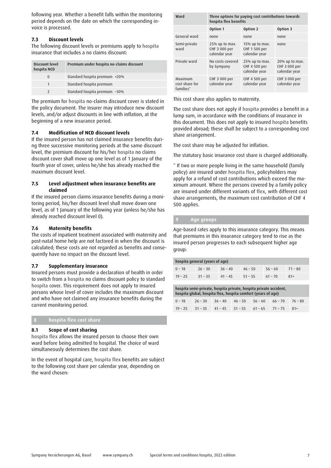following year. Whether a benefit falls within the monitoring period depends on the date on which the corresponding invoice is processed.

# **7.3 Discount levels**

The following discount levels or premiums apply to hospita insurance that includes a no claims discount:

| Discount level<br>hospita NCD | Premium under hospita no-claims discount |  |
|-------------------------------|------------------------------------------|--|
| $\Omega$                      | Standard hospita premium +20%            |  |
| 1                             | Standard hospita premium                 |  |
|                               | Standard hospita premium -30%            |  |

The premium for hospita no-claims discount cover is stated in the policy document. The insurer may introduce new discount levels, and/or adjust discounts in line with inflation, at the beginning of a new insurance period.

#### **7.4 Modification of NCD discount levels**

If the insured person has not claimed insurance benefits during three successive monitoring periods at the same discount level, the premium discount for his/her hospita no claims discount cover shall move up one level as of 1 January of the fourth year of cover, unless he/she has already reached the maximum discount level.

#### **7.5 Level adjustment when insurance benefits are claimed**

If the insured person claims insurance benefits during a monitoring period, his/her discount level shall move down one level, as of 1 January of the following year (unless he/she has already reached discount level 0).

# **7.6 Maternity benefits**

The costs of inpatient treatment associated with maternity and post-natal home help are not factored in when the discount is calculated; these costs are not regarded as benefits and consequently have no impact on the discount level.

#### **7.7 Supplementary insurance**

Insured persons must provide a declaration of health in order to switch from a hospita no claims discount policy to standard hospita cover. This requirement does not apply to insured persons whose level of cover includes the maximum discount and who have not claimed any insurance benefits during the current monitoring period.

# **8 hospita flex cost share**

#### **8.1 Scope of cost sharing**

hospita flex allows the insured person to choose their own ward before being admitted to hospital. The choice of ward simultaneously determines the cost share.

In the event of hospital care, hospita flex benefits are subject to the following cost share per calendar year, depending on the ward chosen:

| Ward                                   | Three options for paying cost contributions towards<br>hospita flex benefits |                                                     |                                                     |  |
|----------------------------------------|------------------------------------------------------------------------------|-----------------------------------------------------|-----------------------------------------------------|--|
|                                        | Option 1                                                                     | Option 2                                            | Option 3                                            |  |
| General ward                           | none                                                                         | none                                                | none                                                |  |
| Semi-private<br>ward                   | $25\%$ up to max.<br>CHF 3 000 per<br>calendar year                          | $15\%$ up to max.<br>CHF 1 500 per<br>calendar year | none                                                |  |
| Private ward                           | No costs covered<br>by Sympany                                               | $25\%$ up to max.<br>CHF 4 500 per<br>calendar year | $20\%$ up to max.<br>CHF 3 000 per<br>calendar year |  |
| Maximum<br>cost share for<br>families* | CHF 3 000 per<br>calendar year                                               | CHF 4 500 per<br>calendar year                      | CHF 3 000 per<br>calendar year                      |  |

This cost share also applies to maternity.

The cost share does not apply if hospita provides a benefit in a lump sum, in accordance with the conditions of insurance in this document. This does not apply to insured hospita benefits provided abroad; these shall be subject to a corresponding cost share arrangement.

The cost share may be adjusted for inflation.

The statutory basic insurance cost share is charged additionally.

\* If two or more people living in the same household (family policy) are insured under hospita flex, policyholders may apply for a refund of cost contributions which exceed the maximum amount. Where the persons covered by a family policy are insured under different variants of flex, with different cost share arrangements, the maximum cost contribution of CHF 4 500 applies.

#### **9 Age groups**

Age-based rates apply to this insurance category. This means that premiums in this insurance category tend to rise as the insured person progresses to each subsequent higher age group:

| hospita general (years of age) |           |           |           |           |           |  |  |  |  |
|--------------------------------|-----------|-----------|-----------|-----------|-----------|--|--|--|--|
| $0 - 18$                       | $26 - 30$ | $36 - 40$ | $46 - 50$ | $56 - 60$ | $71 - 80$ |  |  |  |  |
| $19 - 25$                      | $31 - 35$ | $41 - 45$ | $51 - 55$ | $61 - 70$ | $81+$     |  |  |  |  |
|                                |           |           |           |           |           |  |  |  |  |

| hospita semi-private, hospita private, hospita private accident,<br>hospita global, hospita flex, hospita comfort (years of age) |  |  |                                                             |  |  |           |  |  |  |  |
|----------------------------------------------------------------------------------------------------------------------------------|--|--|-------------------------------------------------------------|--|--|-----------|--|--|--|--|
| $0 - 18$                                                                                                                         |  |  | $26 - 30$ $36 - 40$ $46 - 50$ $56 - 60$ $66 - 70$           |  |  | $76 - 80$ |  |  |  |  |
|                                                                                                                                  |  |  | $19 - 25$ $31 - 35$ $41 - 45$ $51 - 55$ $61 - 65$ $71 - 75$ |  |  | $81+$     |  |  |  |  |